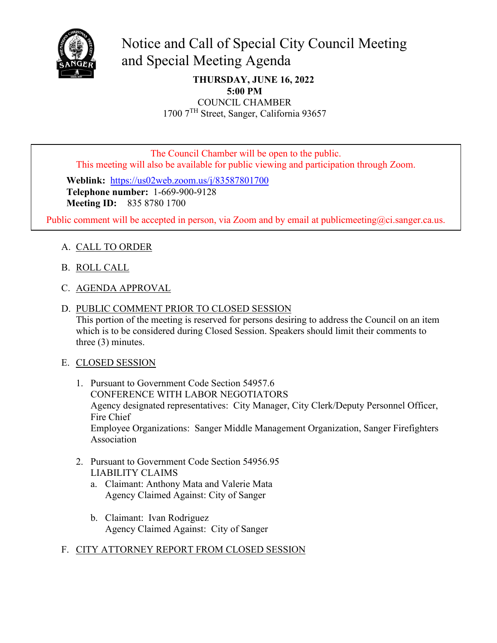

# and Special Meeting Agenda Notice and Call of Special City Council Meeting

**THURSDAY, JUNE 16, 2022 5:00 PM** COUNCIL CHAMBER

1700 7TH Street, Sanger, California 93657

The Council Chamber will be open to the public. This meeting will also be available for public viewing and participation through Zoom.

 **Weblink:** <https://us02web.zoom.us/j/83587801700> **Telephone number:** 1-669-900-9128 **Meeting ID:** 835 8780 1700

Public comment will be accepted in person, via Zoom and by email at [publicmeeting@ci.sanger.ca.us.](mailto:publicmeeting@ci.sanger.ca.us)

# A. CALL TO ORDER

- B. ROLL CALL
- C. AGENDA APPROVAL
- D. PUBLIC COMMENT PRIOR TO CLOSED SESSION

This portion of the meeting is reserved for persons desiring to address the Council on an item which is to be considered during Closed Session. Speakers should limit their comments to three (3) minutes.

### E. CLOSED SESSION

- 1. Pursuant to Government Code Section 54957.6 CONFERENCE WITH LABOR NEGOTIATORS Agency designated representatives: City Manager, City Clerk/Deputy Personnel Officer, Fire Chief Employee Organizations: Sanger Middle Management Organization, Sanger Firefighters Association
- 2. Pursuant to Government Code Section 54956.95 LIABILITY CLAIMS
	- a. Claimant: Anthony Mata and Valerie Mata Agency Claimed Against: City of Sanger
	- b. Claimant: Ivan Rodriguez Agency Claimed Against: City of Sanger

## F. CITY ATTORNEY REPORT FROM CLOSED SESSION